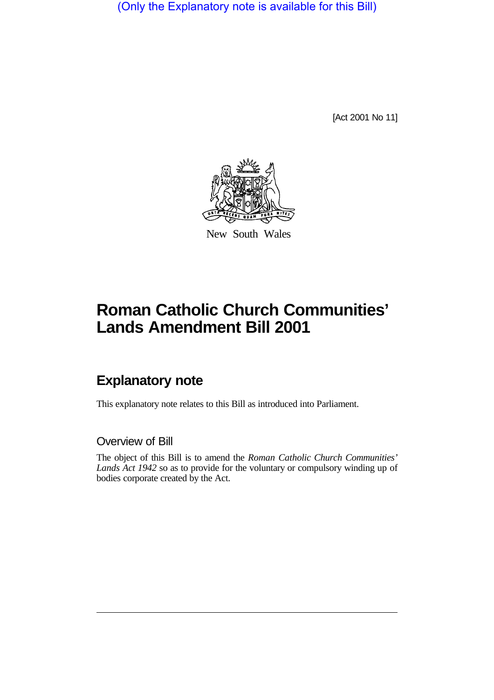(Only the Explanatory note is available for this Bill)

[Act 2001 No 11]



New South Wales

# **Roman Catholic Church Communities' Lands Amendment Bill 2001**

## **Explanatory note**

This explanatory note relates to this Bill as introduced into Parliament.

#### Overview of Bill

The object of this Bill is to amend the *Roman Catholic Church Communities' Lands Act 1942* so as to provide for the voluntary or compulsory winding up of bodies corporate created by the Act.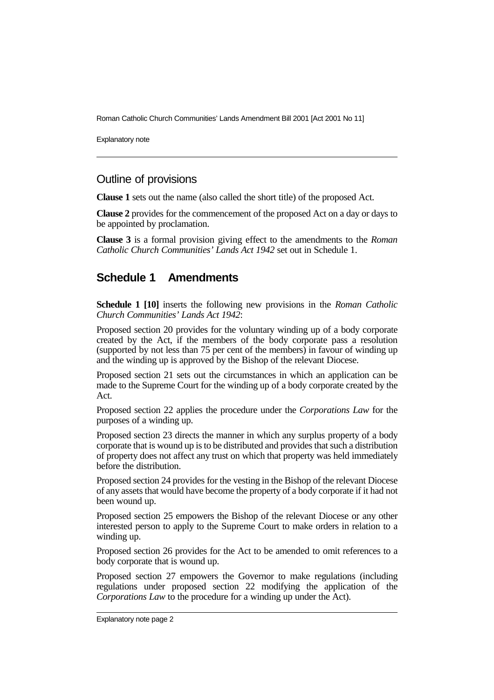Roman Catholic Church Communities' Lands Amendment Bill 2001 [Act 2001 No 11]

Explanatory note

#### Outline of provisions

**Clause 1** sets out the name (also called the short title) of the proposed Act.

**Clause 2** provides for the commencement of the proposed Act on a day or days to be appointed by proclamation.

**Clause 3** is a formal provision giving effect to the amendments to the *Roman Catholic Church Communities' Lands Act 1942* set out in Schedule 1.

### **Schedule 1 Amendments**

**Schedule 1 [10]** inserts the following new provisions in the *Roman Catholic Church Communities' Lands Act 1942*:

Proposed section 20 provides for the voluntary winding up of a body corporate created by the Act, if the members of the body corporate pass a resolution (supported by not less than 75 per cent of the members) in favour of winding up and the winding up is approved by the Bishop of the relevant Diocese.

Proposed section 21 sets out the circumstances in which an application can be made to the Supreme Court for the winding up of a body corporate created by the Act.

Proposed section 22 applies the procedure under the *Corporations Law* for the purposes of a winding up.

Proposed section 23 directs the manner in which any surplus property of a body corporate that is wound up is to be distributed and provides that such a distribution of property does not affect any trust on which that property was held immediately before the distribution.

Proposed section 24 provides for the vesting in the Bishop of the relevant Diocese of any assets that would have become the property of a body corporate if it had not been wound up.

Proposed section 25 empowers the Bishop of the relevant Diocese or any other interested person to apply to the Supreme Court to make orders in relation to a winding up.

Proposed section 26 provides for the Act to be amended to omit references to a body corporate that is wound up.

Proposed section 27 empowers the Governor to make regulations (including regulations under proposed section 22 modifying the application of the *Corporations Law* to the procedure for a winding up under the Act).

Explanatory note page 2